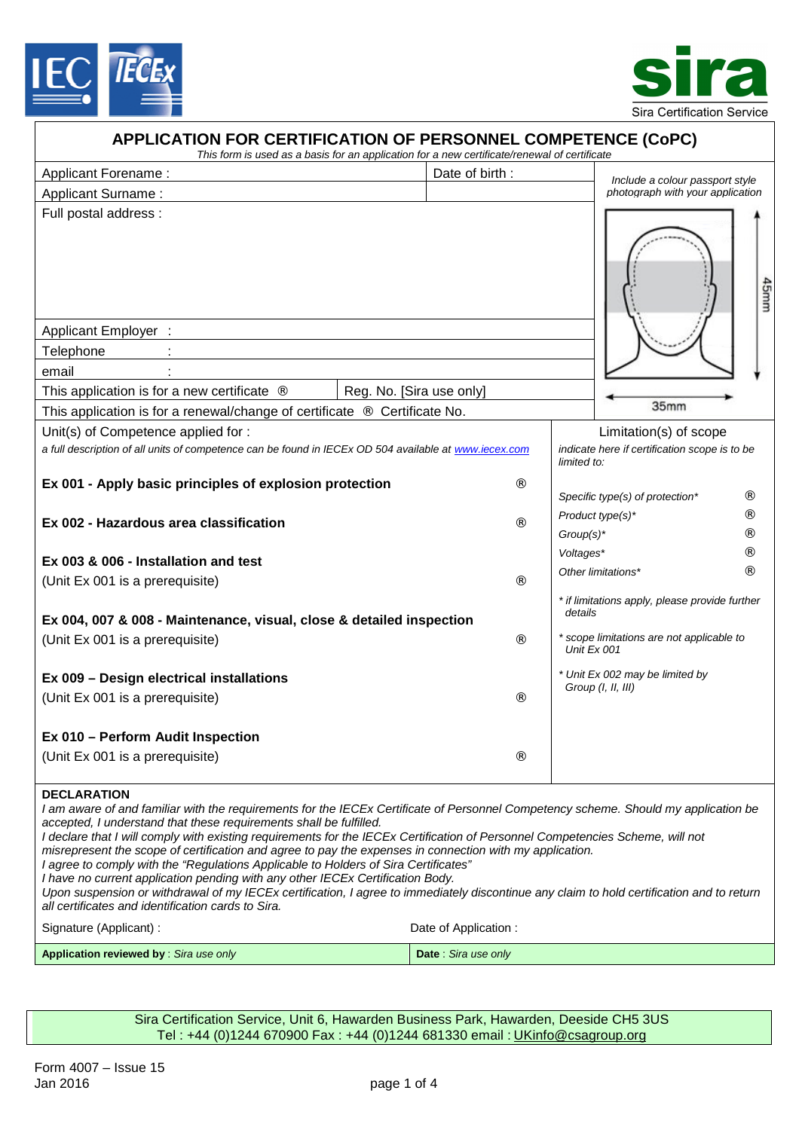



| <b>APPLICATION FOR CERTIFICATION OF PERSONNEL COMPETENCE (CoPC)</b><br>This form is used as a basis for an application for a new certificate/renewal of certificate |                          |                      |              |                                                          |
|---------------------------------------------------------------------------------------------------------------------------------------------------------------------|--------------------------|----------------------|--------------|----------------------------------------------------------|
| Applicant Forename:                                                                                                                                                 | Date of birth:           |                      |              | Include a colour passport style                          |
| <b>Applicant Surname:</b>                                                                                                                                           |                          |                      |              | photograph with your application                         |
| Full postal address :                                                                                                                                               |                          |                      |              | 45mm                                                     |
| <b>Applicant Employer :</b>                                                                                                                                         |                          |                      |              |                                                          |
| Telephone                                                                                                                                                           |                          |                      |              |                                                          |
| email                                                                                                                                                               |                          |                      |              |                                                          |
| This application is for a new certificate "                                                                                                                         | Reg. No. [Sira use only] |                      |              | 35mm                                                     |
| This application is for a renewal/change of certificate " Certificate No.                                                                                           |                          |                      |              |                                                          |
| Unit(s) of Competence applied for :                                                                                                                                 |                          |                      |              | Limitation(s) of scope                                   |
| a full description of all units of competence can be found in IECEx OD 504 available at www.iecex.com                                                               |                          |                      | limited to:  | indicate here if certification scope is to be            |
| Ex 001 - Apply basic principles of explosion protection                                                                                                             |                          | $\ddot{\phantom{a}}$ |              | Specific type(s) of protection*                          |
| Ex 002 - Hazardous area classification                                                                                                                              |                          |                      | $Group(s)^*$ | Product type(s)*                                         |
| Ex 003 & 006 - Installation and test                                                                                                                                |                          |                      | Voltages*    |                                                          |
| (Unit Ex 001 is a prerequisite)                                                                                                                                     |                          |                      |              | Other limitations*                                       |
| Ex 004, 007 & 008 - Maintenance, visual, close & detailed inspection                                                                                                |                          |                      | details      | * if limitations apply, please provide further           |
| (Unit Ex 001 is a prerequisite)                                                                                                                                     |                          |                      |              | * scope limitations are not applicable to<br>Unit Ex 001 |
| Ex 009 - Design electrical installations                                                                                                                            |                          |                      |              | * Unit Ex 002 may be limited by<br>Group (I, II, III)    |
| (Unit Ex 001 is a prerequisite)                                                                                                                                     |                          |                      |              |                                                          |
| Ex 010 - Perform Audit Inspection                                                                                                                                   |                          |                      |              |                                                          |
| (Unit Ex 001 is a prerequisite)                                                                                                                                     |                          |                      |              |                                                          |
| <b>DECLARATION</b><br>I am aware of and familiar with the requirements for the IECEx Certificate of Personnel Competency scheme. Should my application be           |                          |                      |              |                                                          |

*accepted, I understand that these requirements shall be fulfilled.* 

- *I declare that I will comply with existing requirements for the IECEx Certification of Personnel Competencies Scheme, will not*
- *misrepresent the scope of certification and agree to pay the expenses in connection with my application.*

*I agree to comply with the "Regulations Applicable to Holders of Sira Certificates" I have no current application pending with any other IECEx Certification Body.* 

*Upon suspension or withdrawal of my IECEx certification, I agree to immediately discontinue any claim to hold certification and to return all certificates and identification cards to Sira.* 

| Signature (Applicant) :                       | Date of Application:        |
|-----------------------------------------------|-----------------------------|
| <b>Application reviewed by:</b> Sira use only | <b>Date</b> : Sira use only |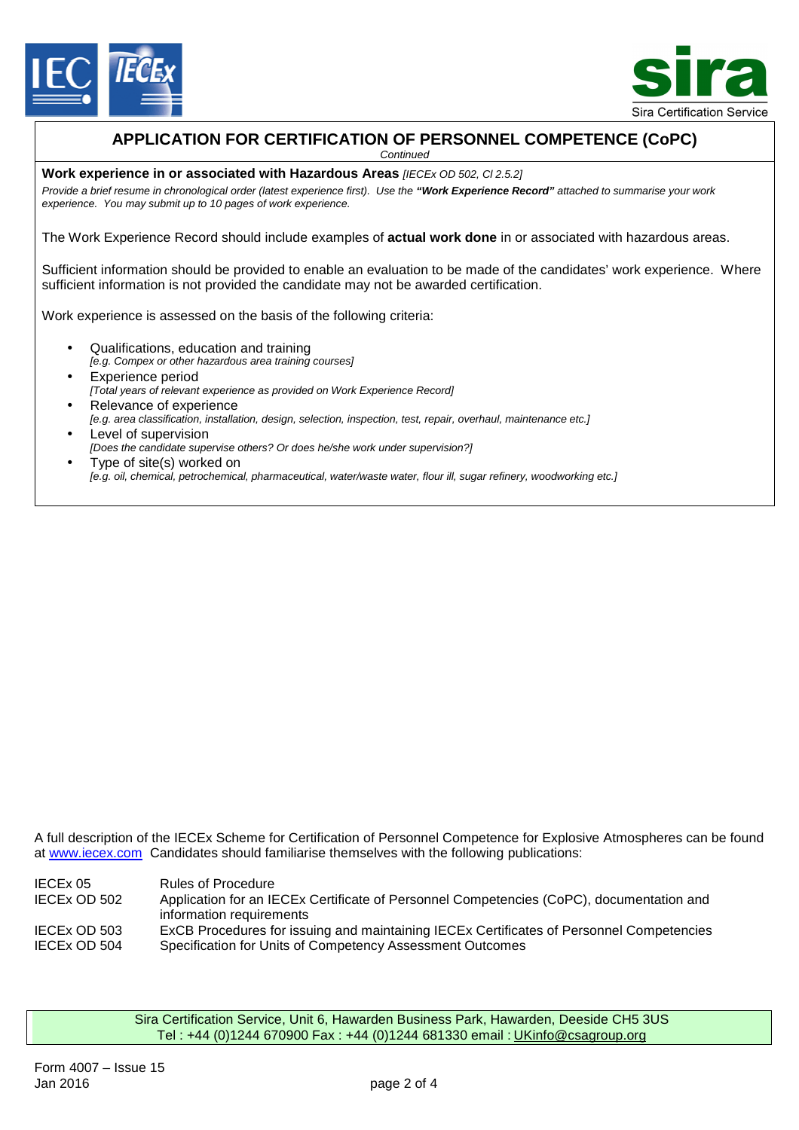



# **APPLICATION FOR CERTIFICATION OF PERSONNEL COMPETENCE (CoPC)**

*Continued* 

**Work experience in or associated with Hazardous Areas** *[IECEx OD 502, Cl 2.5.2]* 

*Provide a brief resume in chronological order (latest experience first). Use the "Work Experience Record" attached to summarise your work experience. You may submit up to 10 pages of work experience.* 

The Work Experience Record should include examples of **actual work done** in or associated with hazardous areas.

Sufficient information should be provided to enable an evaluation to be made of the candidates' work experience. Where sufficient information is not provided the candidate may not be awarded certification.

Work experience is assessed on the basis of the following criteria:

- Qualifications, education and training *[e.g. Compex or other hazardous area training courses]*
- Experience period *[Total years of relevant experience as provided on Work Experience Record]*
- Relevance of experience *[e.g. area classification, installation, design, selection, inspection, test, repair, overhaul, maintenance etc.]*
- Level of supervision *[Does the candidate supervise others? Or does he/she work under supervision?]*
- Type of site(s) worked on *[e.g. oil, chemical, petrochemical, pharmaceutical, water/waste water, flour ill, sugar refinery, woodworking etc.]*

A full description of the IECEx Scheme for Certification of Personnel Competence for Explosive Atmospheres can be found at [www.iecex.com](http://www.iecex.com) Candidates should familiarise themselves with the following publications:

IECEx 05 Rules of Procedure<br>IECEx OD 502 Application for an IE Application for an IECEx Certificate of Personnel Competencies (CoPC), documentation and information requirements IECEx OD 503 ExCB Procedures for issuing and maintaining IECEx Certificates of Personnel Competencies IECEx OD 504 Specification for Units of Competency Assessment Outcomes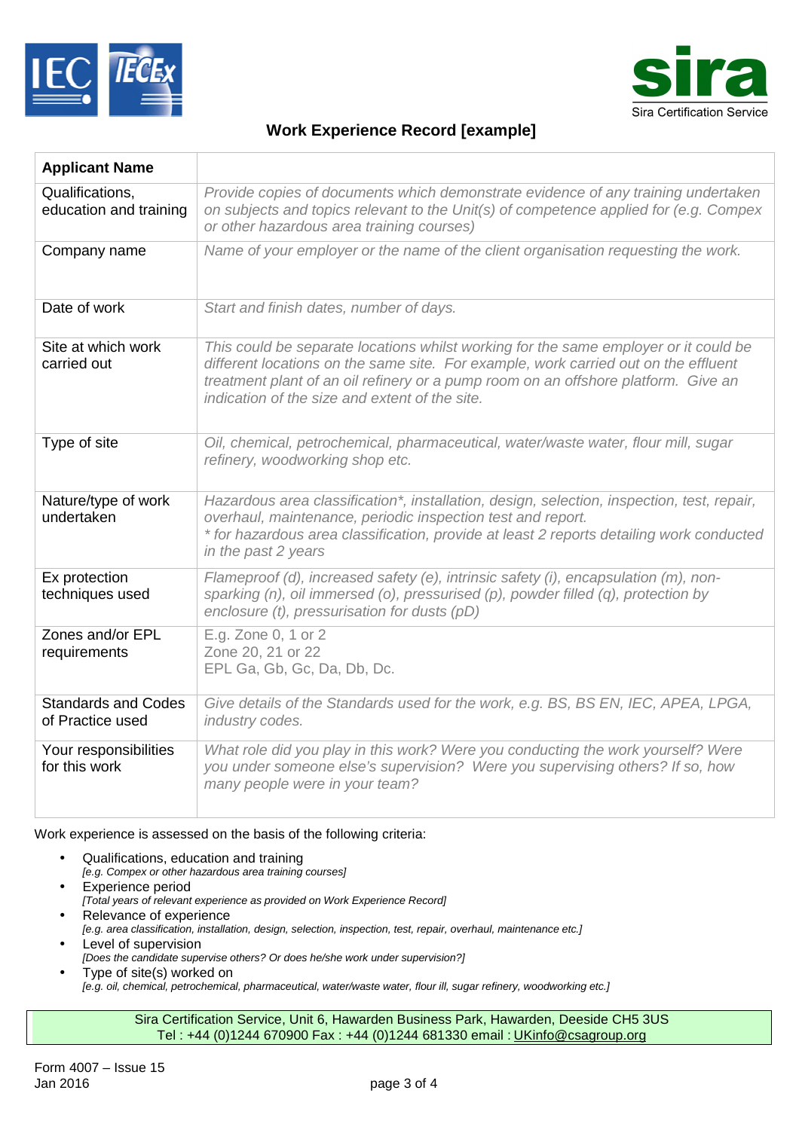



## **Work Experience Record [example]**

| <b>Applicant Name</b>                          |                                                                                                                                                                                                                                                                                                                     |
|------------------------------------------------|---------------------------------------------------------------------------------------------------------------------------------------------------------------------------------------------------------------------------------------------------------------------------------------------------------------------|
| Qualifications,<br>education and training      | Provide copies of documents which demonstrate evidence of any training undertaken<br>on subjects and topics relevant to the Unit(s) of competence applied for (e.g. Compex<br>or other hazardous area training courses)                                                                                             |
| Company name                                   | Name of your employer or the name of the client organisation requesting the work.                                                                                                                                                                                                                                   |
| Date of work                                   | Start and finish dates, number of days.                                                                                                                                                                                                                                                                             |
| Site at which work<br>carried out              | This could be separate locations whilst working for the same employer or it could be<br>different locations on the same site. For example, work carried out on the effluent<br>treatment plant of an oil refinery or a pump room on an offshore platform. Give an<br>indication of the size and extent of the site. |
| Type of site                                   | Oil, chemical, petrochemical, pharmaceutical, water/waste water, flour mill, sugar<br>refinery, woodworking shop etc.                                                                                                                                                                                               |
| Nature/type of work<br>undertaken              | Hazardous area classification*, installation, design, selection, inspection, test, repair,<br>overhaul, maintenance, periodic inspection test and report.<br>* for hazardous area classification, provide at least 2 reports detailing work conducted<br>in the past 2 years                                        |
| Ex protection<br>techniques used               | Flameproof (d), increased safety (e), intrinsic safety (i), encapsulation (m), non-<br>sparking $(n)$ , oil immersed $(o)$ , pressurised $(p)$ , powder filled $(q)$ , protection by<br>enclosure (t), pressurisation for dusts (pD)                                                                                |
| Zones and/or EPL<br>requirements               | E.g. Zone 0, 1 or 2<br>Zone 20, 21 or 22<br>EPL Ga, Gb, Gc, Da, Db, Dc.                                                                                                                                                                                                                                             |
| <b>Standards and Codes</b><br>of Practice used | Give details of the Standards used for the work, e.g. BS, BS EN, IEC, APEA, LPGA,<br>industry codes.                                                                                                                                                                                                                |
| Your responsibilities<br>for this work         | What role did you play in this work? Were you conducting the work yourself? Were<br>you under someone else's supervision? Were you supervising others? If so, how<br>many people were in your team?                                                                                                                 |

#### Work experience is assessed on the basis of the following criteria:

- Qualifications, education and training *[e.g. Compex or other hazardous area training courses]*
- Experience period *[Total years of relevant experience as provided on Work Experience Record]*
- Relevance of experience *[e.g. area classification, installation, design, selection, inspection, test, repair, overhaul, maintenance etc.]*  • Level of supervision
- *[Does the candidate supervise others? Or does he/she work under supervision?]*
- Type of site(s) worked on *[e.g. oil, chemical, petrochemical, pharmaceutical, water/waste water, flour ill, sugar refinery, woodworking etc.]*